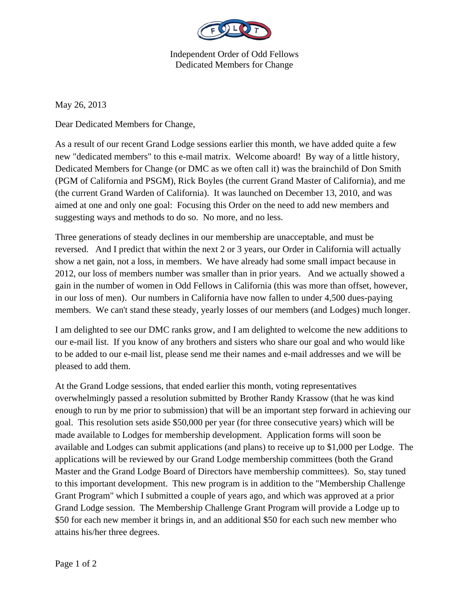

Independent Order of Odd Fellows Dedicated Members for Change

May 26, 2013

Dear Dedicated Members for Change,

As a result of our recent Grand Lodge sessions earlier this month, we have added quite a few new "dedicated members" to this e-mail matrix. Welcome aboard! By way of a little history, Dedicated Members for Change (or DMC as we often call it) was the brainchild of Don Smith (PGM of California and PSGM), Rick Boyles (the current Grand Master of California), and me (the current Grand Warden of California). It was launched on December 13, 2010, and was aimed at one and only one goal: Focusing this Order on the need to add new members and suggesting ways and methods to do so. No more, and no less.

Three generations of steady declines in our membership are unacceptable, and must be reversed. And I predict that within the next 2 or 3 years, our Order in California will actually show a net gain, not a loss, in members. We have already had some small impact because in 2012, our loss of members number was smaller than in prior years. And we actually showed a gain in the number of women in Odd Fellows in California (this was more than offset, however, in our loss of men). Our numbers in California have now fallen to under 4,500 dues-paying members. We can't stand these steady, yearly losses of our members (and Lodges) much longer.

I am delighted to see our DMC ranks grow, and I am delighted to welcome the new additions to our e-mail list. If you know of any brothers and sisters who share our goal and who would like to be added to our e-mail list, please send me their names and e-mail addresses and we will be pleased to add them.

At the Grand Lodge sessions, that ended earlier this month, voting representatives overwhelmingly passed a resolution submitted by Brother Randy Krassow (that he was kind enough to run by me prior to submission) that will be an important step forward in achieving our goal. This resolution sets aside \$50,000 per year (for three consecutive years) which will be made available to Lodges for membership development. Application forms will soon be available and Lodges can submit applications (and plans) to receive up to \$1,000 per Lodge. The applications will be reviewed by our Grand Lodge membership committees (both the Grand Master and the Grand Lodge Board of Directors have membership committees). So, stay tuned to this important development. This new program is in addition to the "Membership Challenge Grant Program" which I submitted a couple of years ago, and which was approved at a prior Grand Lodge session. The Membership Challenge Grant Program will provide a Lodge up to \$50 for each new member it brings in, and an additional \$50 for each such new member who attains his/her three degrees.